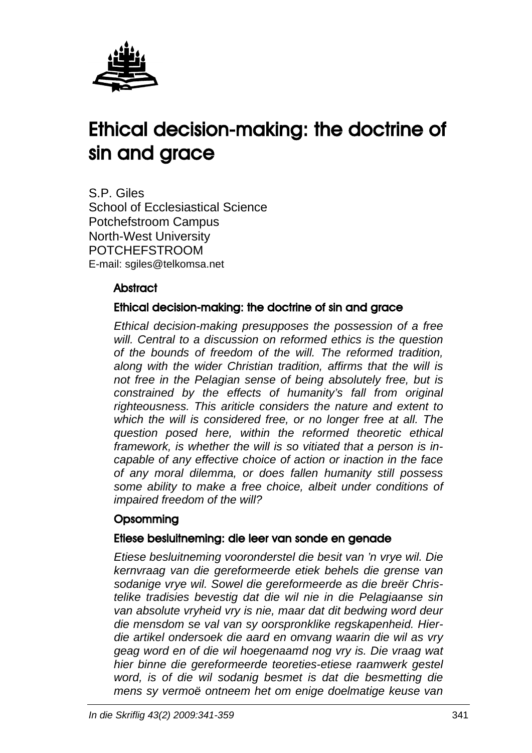

# Ethical decision-making: the doctrine of sin and grace

S.P. Giles School of Ecclesiastical Science Potchefstroom Campus North-West University POTCHEFSTROOM E-mail: [sgiles@telkomsa.net](mailto:sgiles@telkomsa.net)

#### **Abstract**

#### Ethical decision-making: the doctrine of sin and grace

*Ethical decision-making presupposes the possession of a free will. Central to a discussion on reformed ethics is the question of the bounds of freedom of the will. The reformed tradition, along with the wider Christian tradition, affirms that the will is not free in the Pelagian sense of being absolutely free, but is constrained by the effects of humanity's fall from original righteousness. This ariticle considers the nature and extent to which the will is considered free, or no longer free at all. The question posed here, within the reformed theoretic ethical framework, is whether the will is so vitiated that a person is incapable of any effective choice of action or inaction in the face of any moral dilemma, or does fallen humanity still possess some ability to make a free choice, albeit under conditions of impaired freedom of the will?* 

#### **Opsomming**

#### Etiese besluitneming: die leer van sonde en genade

*Etiese besluitneming vooronderstel die besit van 'n vrye wil. Die kernvraag van die gereformeerde etiek behels die grense van sodanige vrye wil. Sowel die gereformeerde as die breër Christelike tradisies bevestig dat die wil nie in die Pelagiaanse sin van absolute vryheid vry is nie, maar dat dit bedwing word deur die mensdom se val van sy oorspronklike regskapenheid. Hierdie artikel ondersoek die aard en omvang waarin die wil as vry geag word en of die wil hoegenaamd nog vry is. Die vraag wat hier binne die gereformeerde teoreties-etiese raamwerk gestel word, is of die wil sodanig besmet is dat die besmetting die mens sy vermoë ontneem het om enige doelmatige keuse van*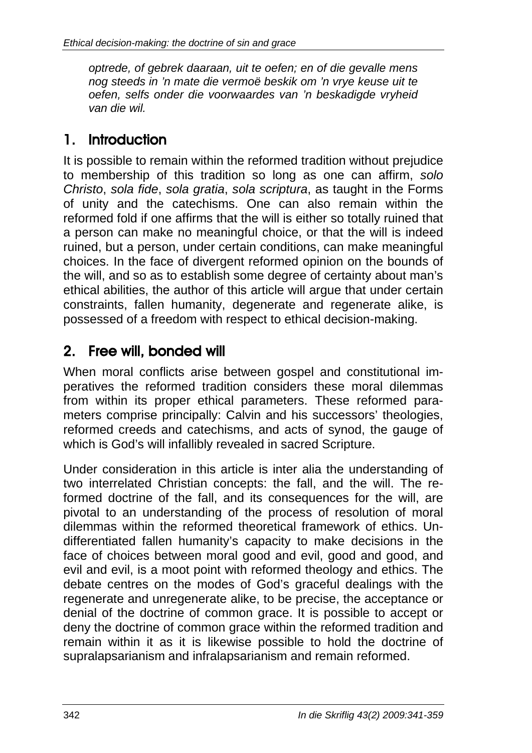*optrede, of gebrek daaraan, uit te oefen; en of die gevalle mens nog steeds in 'n mate die vermoë beskik om 'n vrye keuse uit te oefen, selfs onder die voorwaardes van 'n beskadigde vryheid van die wil.*

# 1. Introduction

It is possible to remain within the reformed tradition without prejudice to membership of this tradition so long as one can affirm, *solo Christo*, *sola fide*, *sola gratia*, *sola scriptura*, as taught in the Forms of unity and the catechisms. One can also remain within the reformed fold if one affirms that the will is either so totally ruined that a person can make no meaningful choice, or that the will is indeed ruined, but a person, under certain conditions, can make meaningful choices. In the face of divergent reformed opinion on the bounds of the will, and so as to establish some degree of certainty about man's ethical abilities, the author of this article will argue that under certain constraints, fallen humanity, degenerate and regenerate alike, is possessed of a freedom with respect to ethical decision-making.

# 2. Free will, bonded will

When moral conflicts arise between gospel and constitutional imperatives the reformed tradition considers these moral dilemmas from within its proper ethical parameters. These reformed parameters comprise principally: Calvin and his successors' theologies, reformed creeds and catechisms, and acts of synod, the gauge of which is God's will infallibly revealed in sacred Scripture.

Under consideration in this article is inter alia the understanding of two interrelated Christian concepts: the fall, and the will. The reformed doctrine of the fall, and its consequences for the will, are pivotal to an understanding of the process of resolution of moral dilemmas within the reformed theoretical framework of ethics. Undifferentiated fallen humanity's capacity to make decisions in the face of choices between moral good and evil, good and good, and evil and evil, is a moot point with reformed theology and ethics. The debate centres on the modes of God's graceful dealings with the regenerate and unregenerate alike, to be precise, the acceptance or denial of the doctrine of common grace. It is possible to accept or deny the doctrine of common grace within the reformed tradition and remain within it as it is likewise possible to hold the doctrine of supralapsarianism and infralapsarianism and remain reformed.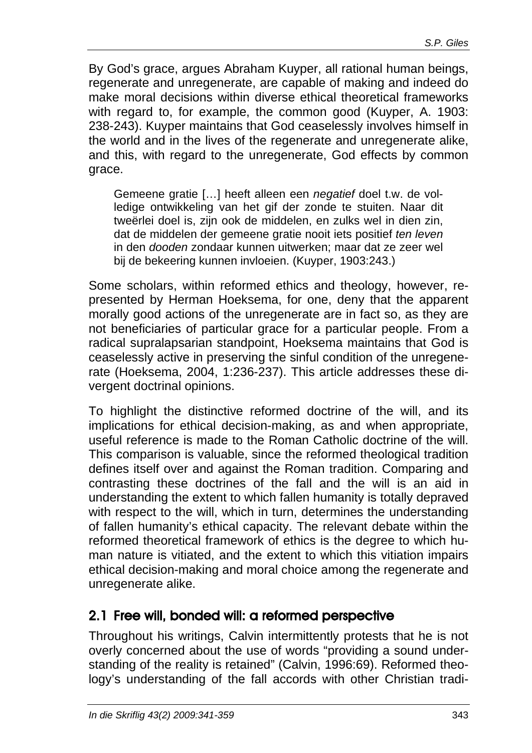By God's grace, argues Abraham Kuyper, all rational human beings, regenerate and unregenerate, are capable of making and indeed do make moral decisions within diverse ethical theoretical frameworks with regard to, for example, the common good (Kuyper, A. 1903: 238-243). Kuyper maintains that God ceaselessly involves himself in the world and in the lives of the regenerate and unregenerate alike, and this, with regard to the unregenerate, God effects by common grace.

Gemeene gratie […] heeft alleen een *negatief* doel t.w. de volledige ontwikkeling van het gif der zonde te stuiten. Naar dit tweërlei doel is, zijn ook de middelen, en zulks wel in dien zin, dat de middelen der gemeene gratie nooit iets positief *ten leven* in den *dooden* zondaar kunnen uitwerken; maar dat ze zeer wel bij de bekeering kunnen invloeien. (Kuyper, 1903:243.)

Some scholars, within reformed ethics and theology, however, represented by Herman Hoeksema, for one, deny that the apparent morally good actions of the unregenerate are in fact so, as they are not beneficiaries of particular grace for a particular people. From a radical supralapsarian standpoint, Hoeksema maintains that God is ceaselessly active in preserving the sinful condition of the unregenerate (Hoeksema, 2004, 1:236-237). This article addresses these divergent doctrinal opinions.

To highlight the distinctive reformed doctrine of the will, and its implications for ethical decision-making, as and when appropriate, useful reference is made to the Roman Catholic doctrine of the will. This comparison is valuable, since the reformed theological tradition defines itself over and against the Roman tradition. Comparing and contrasting these doctrines of the fall and the will is an aid in understanding the extent to which fallen humanity is totally depraved with respect to the will, which in turn, determines the understanding of fallen humanity's ethical capacity. The relevant debate within the reformed theoretical framework of ethics is the degree to which human nature is vitiated, and the extent to which this vitiation impairs ethical decision-making and moral choice among the regenerate and unregenerate alike.

### 2.1 Free will, bonded will: a reformed perspective

Throughout his writings, Calvin intermittently protests that he is not overly concerned about the use of words "providing a sound understanding of the reality is retained" (Calvin, 1996:69). Reformed theology's understanding of the fall accords with other Christian tradi-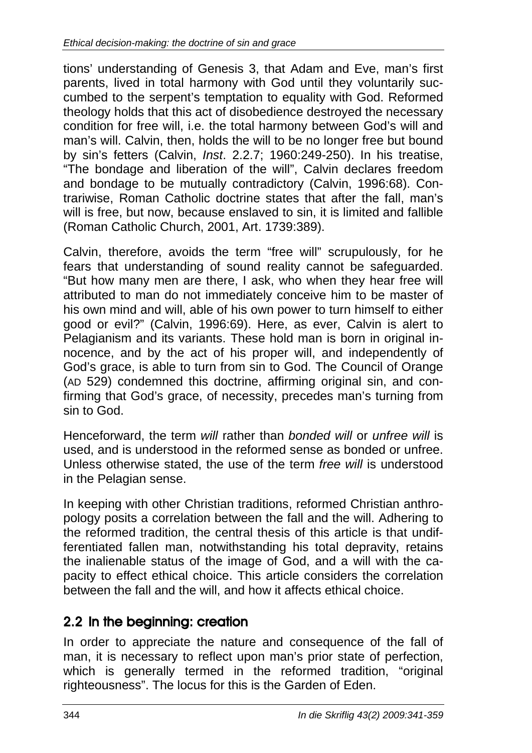tions' understanding of Genesis 3, that Adam and Eve, man's first parents, lived in total harmony with God until they voluntarily succumbed to the serpent's temptation to equality with God. Reformed theology holds that this act of disobedience destroyed the necessary condition for free will, i.e. the total harmony between God's will and man's will. Calvin, then, holds the will to be no longer free but bound by sin's fetters (Calvin, *Inst*. 2.2.7; 1960:249-250). In his treatise, "The bondage and liberation of the will", Calvin declares freedom and bondage to be mutually contradictory (Calvin, 1996:68). Contrariwise, Roman Catholic doctrine states that after the fall, man's will is free, but now, because enslaved to sin, it is limited and fallible (Roman Catholic Church, 2001, Art. 1739:389).

Calvin, therefore, avoids the term "free will" scrupulously, for he fears that understanding of sound reality cannot be safeguarded. "But how many men are there, I ask, who when they hear free will attributed to man do not immediately conceive him to be master of his own mind and will, able of his own power to turn himself to either good or evil?" (Calvin, 1996:69). Here, as ever, Calvin is alert to Pelagianism and its variants. These hold man is born in original innocence, and by the act of his proper will, and independently of God's grace, is able to turn from sin to God. The Council of Orange (AD 529) condemned this doctrine, affirming original sin, and confirming that God's grace, of necessity, precedes man's turning from sin to God.

Henceforward, the term *will* rather than *bonded will* or *unfree will* is used, and is understood in the reformed sense as bonded or unfree. Unless otherwise stated, the use of the term *free will* is understood in the Pelagian sense.

In keeping with other Christian traditions, reformed Christian anthropology posits a correlation between the fall and the will. Adhering to the reformed tradition, the central thesis of this article is that undifferentiated fallen man, notwithstanding his total depravity, retains the inalienable status of the image of God, and a will with the capacity to effect ethical choice. This article considers the correlation between the fall and the will, and how it affects ethical choice.

## 2.2 In the beginning: creation

In order to appreciate the nature and consequence of the fall of man, it is necessary to reflect upon man's prior state of perfection, which is generally termed in the reformed tradition, "original righteousness". The locus for this is the Garden of Eden.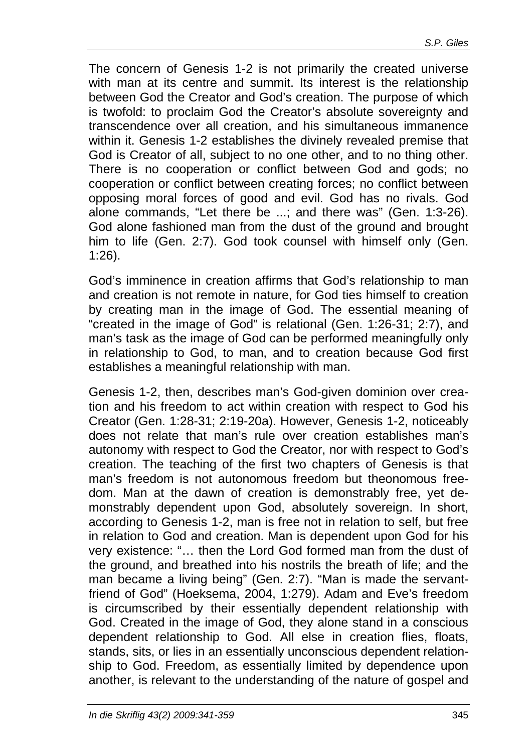The concern of Genesis 1-2 is not primarily the created universe with man at its centre and summit. Its interest is the relationship between God the Creator and God's creation. The purpose of which is twofold: to proclaim God the Creator's absolute sovereignty and transcendence over all creation, and his simultaneous immanence within it. Genesis 1-2 establishes the divinely revealed premise that God is Creator of all, subject to no one other, and to no thing other. There is no cooperation or conflict between God and gods; no cooperation or conflict between creating forces; no conflict between opposing moral forces of good and evil. God has no rivals. God alone commands, "Let there be ...; and there was" (Gen. 1:3-26). God alone fashioned man from the dust of the ground and brought him to life (Gen. 2:7). God took counsel with himself only (Gen. 1:26).

God's imminence in creation affirms that God's relationship to man and creation is not remote in nature, for God ties himself to creation by creating man in the image of God. The essential meaning of "created in the image of God" is relational (Gen. 1:26-31; 2:7), and man's task as the image of God can be performed meaningfully only in relationship to God, to man, and to creation because God first establishes a meaningful relationship with man.

Genesis 1-2, then, describes man's God-given dominion over creation and his freedom to act within creation with respect to God his Creator (Gen. 1:28-31; 2:19-20a). However, Genesis 1-2, noticeably does not relate that man's rule over creation establishes man's autonomy with respect to God the Creator, nor with respect to God's creation. The teaching of the first two chapters of Genesis is that man's freedom is not autonomous freedom but theonomous freedom. Man at the dawn of creation is demonstrably free, yet demonstrably dependent upon God, absolutely sovereign. In short, according to Genesis 1-2, man is free not in relation to self, but free in relation to God and creation. Man is dependent upon God for his very existence: "… then the Lord God formed man from the dust of the ground, and breathed into his nostrils the breath of life; and the man became a living being" (Gen. 2:7). "Man is made the servantfriend of God" (Hoeksema, 2004, 1:279). Adam and Eve's freedom is circumscribed by their essentially dependent relationship with God. Created in the image of God, they alone stand in a conscious dependent relationship to God. All else in creation flies, floats, stands, sits, or lies in an essentially unconscious dependent relationship to God. Freedom, as essentially limited by dependence upon another, is relevant to the understanding of the nature of gospel and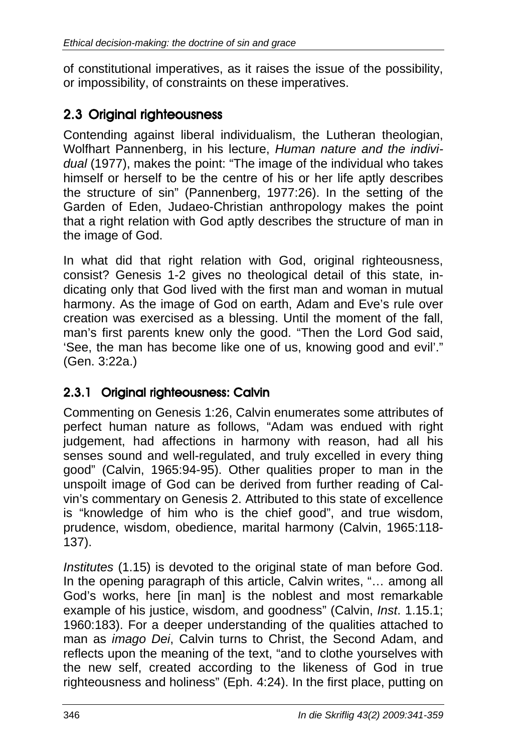of constitutional imperatives, as it raises the issue of the possibility, or impossibility, of constraints on these imperatives.

## 2.3 Original righteousness

Contending against liberal individualism, the Lutheran theologian, Wolfhart Pannenberg, in his lecture, *Human nature and the individual* (1977), makes the point: "The image of the individual who takes himself or herself to be the centre of his or her life aptly describes the structure of sin" (Pannenberg, 1977:26). In the setting of the Garden of Eden, Judaeo-Christian anthropology makes the point that a right relation with God aptly describes the structure of man in the image of God.

In what did that right relation with God, original righteousness, consist? Genesis 1-2 gives no theological detail of this state, indicating only that God lived with the first man and woman in mutual harmony. As the image of God on earth, Adam and Eve's rule over creation was exercised as a blessing. Until the moment of the fall, man's first parents knew only the good. "Then the Lord God said, 'See, the man has become like one of us, knowing good and evil'." (Gen. 3:22a.)

### 2.3.1 Original righteousness: Calvin

Commenting on Genesis 1:26, Calvin enumerates some attributes of perfect human nature as follows, "Adam was endued with right judgement, had affections in harmony with reason, had all his senses sound and well-regulated, and truly excelled in every thing good" (Calvin, 1965:94-95). Other qualities proper to man in the unspoilt image of God can be derived from further reading of Calvin's commentary on Genesis 2. Attributed to this state of excellence is "knowledge of him who is the chief good", and true wisdom, prudence, wisdom, obedience, marital harmony (Calvin, 1965:118- 137).

*Institutes* (1.15) is devoted to the original state of man before God. In the opening paragraph of this article, Calvin writes, "… among all God's works, here [in man] is the noblest and most remarkable example of his justice, wisdom, and goodness" (Calvin, *Inst*. 1.15.1; 1960:183). For a deeper understanding of the qualities attached to man as *imago Dei*, Calvin turns to Christ, the Second Adam, and reflects upon the meaning of the text, "and to clothe yourselves with the new self, created according to the likeness of God in true righteousness and holiness" (Eph. 4:24). In the first place, putting on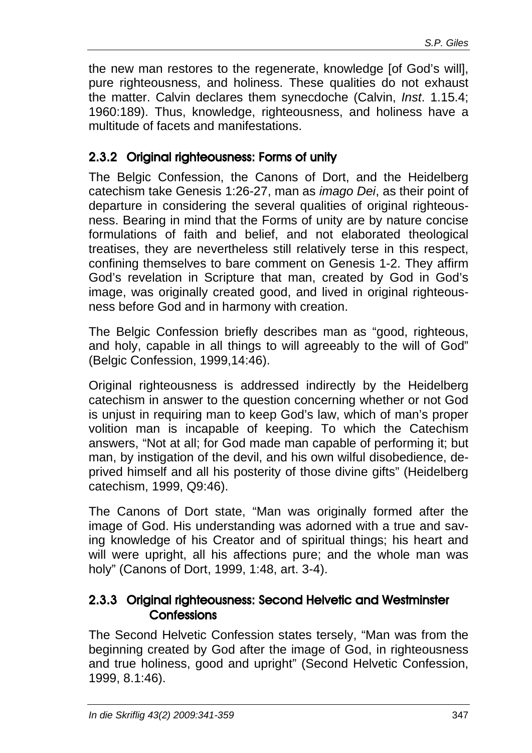the new man restores to the regenerate, knowledge [of God's will], pure righteousness, and holiness. These qualities do not exhaust the matter. Calvin declares them synecdoche (Calvin, *Inst*. 1.15.4; 1960:189). Thus, knowledge, righteousness, and holiness have a multitude of facets and manifestations.

### 2.3.2 Original righteousness: Forms of unity

The Belgic Confession, the Canons of Dort, and the Heidelberg catechism take Genesis 1:26-27, man as *imago Dei*, as their point of departure in considering the several qualities of original righteousness. Bearing in mind that the Forms of unity are by nature concise formulations of faith and belief, and not elaborated theological treatises, they are nevertheless still relatively terse in this respect, confining themselves to bare comment on Genesis 1-2. They affirm God's revelation in Scripture that man, created by God in God's image, was originally created good, and lived in original righteousness before God and in harmony with creation.

The Belgic Confession briefly describes man as "good, righteous, and holy, capable in all things to will agreeably to the will of God" (Belgic Confession, 1999,14:46).

Original righteousness is addressed indirectly by the Heidelberg catechism in answer to the question concerning whether or not God is unjust in requiring man to keep God's law, which of man's proper volition man is incapable of keeping. To which the Catechism answers, "Not at all; for God made man capable of performing it; but man, by instigation of the devil, and his own wilful disobedience, deprived himself and all his posterity of those divine gifts" (Heidelberg catechism, 1999, Q9:46).

The Canons of Dort state, "Man was originally formed after the image of God. His understanding was adorned with a true and saving knowledge of his Creator and of spiritual things; his heart and will were upright, all his affections pure; and the whole man was holy" (Canons of Dort, 1999, 1:48, art. 3-4).

#### 2.3.3 Original righteousness: Second Helvetic and Westminster **Confessions**

The Second Helvetic Confession states tersely, "Man was from the beginning created by God after the image of God, in righteousness and true holiness, good and upright" (Second Helvetic Confession, 1999, 8.1:46).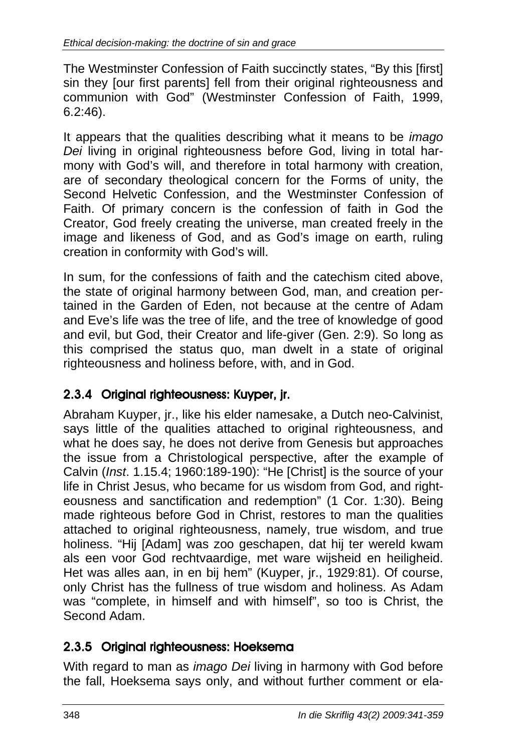The Westminster Confession of Faith succinctly states, "By this [first] sin they [our first parents] fell from their original righteousness and communion with God" (Westminster Confession of Faith, 1999, 6.2:46).

It appears that the qualities describing what it means to be *imago Dei* living in original righteousness before God, living in total harmony with God's will, and therefore in total harmony with creation, are of secondary theological concern for the Forms of unity, the Second Helvetic Confession, and the Westminster Confession of Faith. Of primary concern is the confession of faith in God the Creator, God freely creating the universe, man created freely in the image and likeness of God, and as God's image on earth, ruling creation in conformity with God's will.

In sum, for the confessions of faith and the catechism cited above, the state of original harmony between God, man, and creation pertained in the Garden of Eden, not because at the centre of Adam and Eve's life was the tree of life, and the tree of knowledge of good and evil, but God, their Creator and life-giver (Gen. 2:9). So long as this comprised the status quo, man dwelt in a state of original righteousness and holiness before, with, and in God.

## 2.3.4 Original righteousness: Kuyper, jr.

Abraham Kuyper, jr., like his elder namesake, a Dutch neo-Calvinist, says little of the qualities attached to original righteousness, and what he does say, he does not derive from Genesis but approaches the issue from a Christological perspective, after the example of Calvin (*Inst*. 1.15.4; 1960:189-190): "He [Christ] is the source of your life in Christ Jesus, who became for us wisdom from God, and righteousness and sanctification and redemption" (1 Cor. 1:30). Being made righteous before God in Christ, restores to man the qualities attached to original righteousness, namely, true wisdom, and true holiness. "Hij [Adam] was zoo geschapen, dat hij ter wereld kwam als een voor God rechtvaardige, met ware wijsheid en heiligheid. Het was alles aan, in en bij hem" (Kuyper, jr., 1929:81). Of course, only Christ has the fullness of true wisdom and holiness. As Adam was "complete, in himself and with himself", so too is Christ, the Second Adam.

## 2.3.5 Original righteousness: Hoeksema

With regard to man as *imago Dei* living in harmony with God before the fall, Hoeksema says only, and without further comment or ela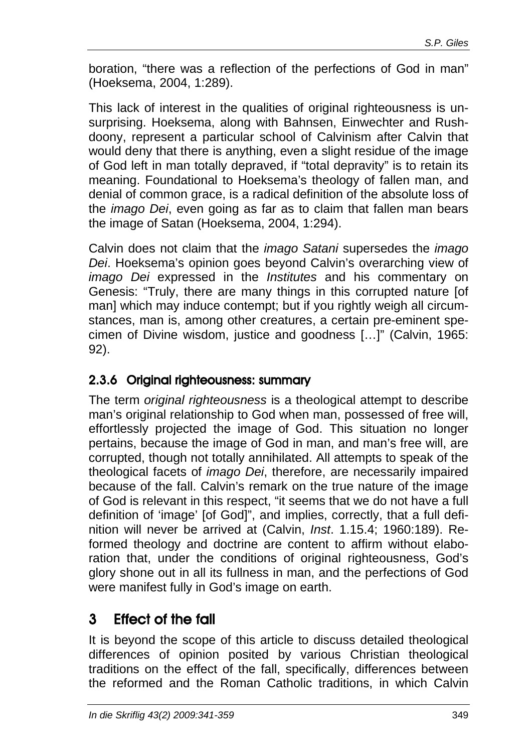boration, "there was a reflection of the perfections of God in man" (Hoeksema, 2004, 1:289).

This lack of interest in the qualities of original righteousness is unsurprising. Hoeksema, along with Bahnsen, Einwechter and Rushdoony, represent a particular school of Calvinism after Calvin that would deny that there is anything, even a slight residue of the image of God left in man totally depraved, if "total depravity" is to retain its meaning. Foundational to Hoeksema's theology of fallen man, and denial of common grace, is a radical definition of the absolute loss of the *imago Dei*, even going as far as to claim that fallen man bears the image of Satan (Hoeksema, 2004, 1:294).

Calvin does not claim that the *imago Satani* supersedes the *imago Dei*. Hoeksema's opinion goes beyond Calvin's overarching view of *imago Dei* expressed in the *Institutes* and his commentary on Genesis: "Truly, there are many things in this corrupted nature [of man] which may induce contempt; but if you rightly weigh all circumstances, man is, among other creatures, a certain pre-eminent specimen of Divine wisdom, justice and goodness […]" (Calvin, 1965: 92).

### 2.3.6 Original righteousness: summary

The term *original righteousness* is a theological attempt to describe man's original relationship to God when man, possessed of free will, effortlessly projected the image of God. This situation no longer pertains, because the image of God in man, and man's free will, are corrupted, though not totally annihilated. All attempts to speak of the theological facets of *imago Dei*, therefore, are necessarily impaired because of the fall. Calvin's remark on the true nature of the image of God is relevant in this respect, "it seems that we do not have a full definition of 'image' [of God]", and implies, correctly, that a full definition will never be arrived at (Calvin, *Inst*. 1.15.4; 1960:189). Reformed theology and doctrine are content to affirm without elaboration that, under the conditions of original righteousness, God's glory shone out in all its fullness in man, and the perfections of God were manifest fully in God's image on earth.

# 3 Effect of the fall

It is beyond the scope of this article to discuss detailed theological differences of opinion posited by various Christian theological traditions on the effect of the fall, specifically, differences between the reformed and the Roman Catholic traditions, in which Calvin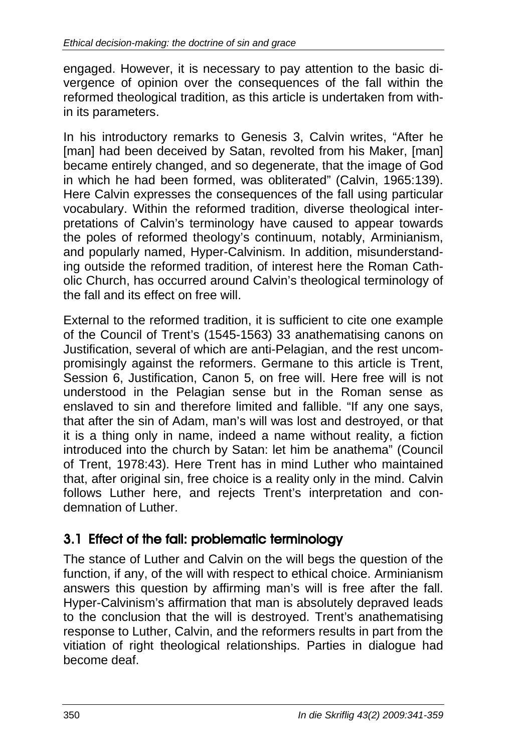engaged. However, it is necessary to pay attention to the basic divergence of opinion over the consequences of the fall within the reformed theological tradition, as this article is undertaken from within its parameters.

In his introductory remarks to Genesis 3, Calvin writes, "After he [man] had been deceived by Satan, revolted from his Maker, [man] became entirely changed, and so degenerate, that the image of God in which he had been formed, was obliterated" (Calvin, 1965:139). Here Calvin expresses the consequences of the fall using particular vocabulary. Within the reformed tradition, diverse theological interpretations of Calvin's terminology have caused to appear towards the poles of reformed theology's continuum, notably, Arminianism, and popularly named, Hyper-Calvinism. In addition, misunderstanding outside the reformed tradition, of interest here the Roman Catholic Church, has occurred around Calvin's theological terminology of the fall and its effect on free will.

External to the reformed tradition, it is sufficient to cite one example of the Council of Trent's (1545-1563) 33 anathematising canons on Justification, several of which are anti-Pelagian, and the rest uncompromisingly against the reformers. Germane to this article is Trent, Session 6, Justification, Canon 5, on free will. Here free will is not understood in the Pelagian sense but in the Roman sense as enslaved to sin and therefore limited and fallible. "If any one says, that after the sin of Adam, man's will was lost and destroyed, or that it is a thing only in name, indeed a name without reality, a fiction introduced into the church by Satan: let him be anathema" (Council of Trent, 1978:43). Here Trent has in mind Luther who maintained that, after original sin, free choice is a reality only in the mind. Calvin follows Luther here, and rejects Trent's interpretation and condemnation of Luther.

# 3.1 Effect of the fall: problematic terminology

The stance of Luther and Calvin on the will begs the question of the function, if any, of the will with respect to ethical choice. Arminianism answers this question by affirming man's will is free after the fall. Hyper-Calvinism's affirmation that man is absolutely depraved leads to the conclusion that the will is destroyed. Trent's anathematising response to Luther, Calvin, and the reformers results in part from the vitiation of right theological relationships. Parties in dialogue had become deaf.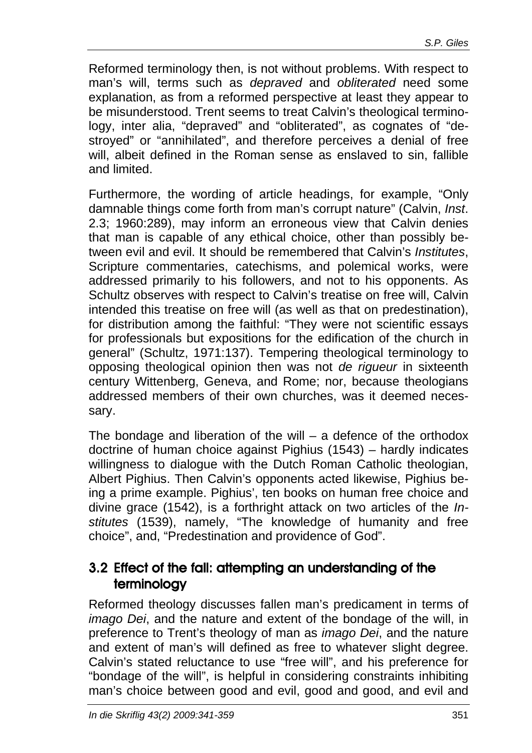Reformed terminology then, is not without problems. With respect to man's will, terms such as *depraved* and *obliterated* need some explanation, as from a reformed perspective at least they appear to be misunderstood. Trent seems to treat Calvin's theological terminology, inter alia, "depraved" and "obliterated", as cognates of "destroyed" or "annihilated", and therefore perceives a denial of free will, albeit defined in the Roman sense as enslaved to sin, fallible and limited.

Furthermore, the wording of article headings, for example, "Only damnable things come forth from man's corrupt nature" (Calvin, *Inst*. 2.3; 1960:289), may inform an erroneous view that Calvin denies that man is capable of any ethical choice, other than possibly between evil and evil. It should be remembered that Calvin's *Institutes*, Scripture commentaries, catechisms, and polemical works, were addressed primarily to his followers, and not to his opponents. As Schultz observes with respect to Calvin's treatise on free will, Calvin intended this treatise on free will (as well as that on predestination), for distribution among the faithful: "They were not scientific essays for professionals but expositions for the edification of the church in general" (Schultz, 1971:137). Tempering theological terminology to opposing theological opinion then was not *de rigueur* in sixteenth century Wittenberg, Geneva, and Rome; nor, because theologians addressed members of their own churches, was it deemed necessary.

The bondage and liberation of the will  $-$  a defence of the orthodox doctrine of human choice against Pighius (1543) – hardly indicates willingness to dialogue with the Dutch Roman Catholic theologian, Albert Pighius. Then Calvin's opponents acted likewise, Pighius being a prime example. Pighius', ten books on human free choice and divine grace (1542), is a forthright attack on two articles of the *Institutes* (1539), namely, "The knowledge of humanity and free choice", and, "Predestination and providence of God".

### 3.2 Effect of the fall: attempting an understanding of the terminology

Reformed theology discusses fallen man's predicament in terms of *imago Dei*, and the nature and extent of the bondage of the will, in preference to Trent's theology of man as *imago Dei*, and the nature and extent of man's will defined as free to whatever slight degree. Calvin's stated reluctance to use "free will", and his preference for "bondage of the will", is helpful in considering constraints inhibiting man's choice between good and evil, good and good, and evil and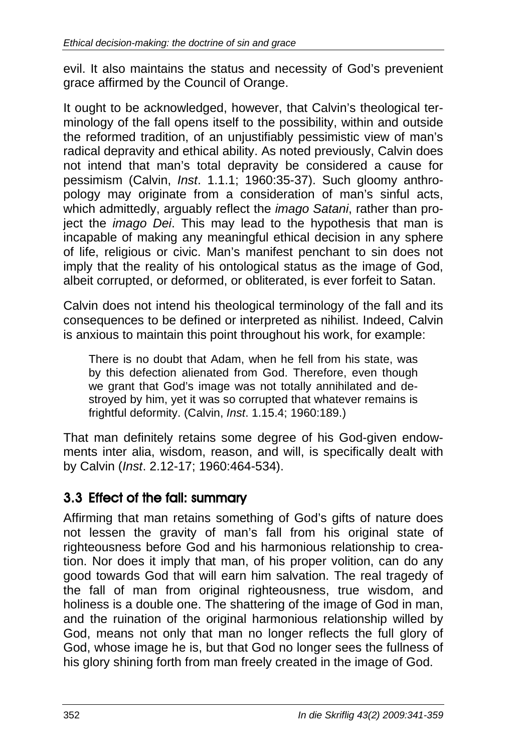evil. It also maintains the status and necessity of God's prevenient grace affirmed by the Council of Orange.

It ought to be acknowledged, however, that Calvin's theological terminology of the fall opens itself to the possibility, within and outside the reformed tradition, of an unjustifiably pessimistic view of man's radical depravity and ethical ability. As noted previously, Calvin does not intend that man's total depravity be considered a cause for pessimism (Calvin, *Inst*. 1.1.1; 1960:35-37). Such gloomy anthropology may originate from a consideration of man's sinful acts, which admittedly, arguably reflect the *imago Satani*, rather than project the *imago Dei*. This may lead to the hypothesis that man is incapable of making any meaningful ethical decision in any sphere of life, religious or civic. Man's manifest penchant to sin does not imply that the reality of his ontological status as the image of God, albeit corrupted, or deformed, or obliterated, is ever forfeit to Satan.

Calvin does not intend his theological terminology of the fall and its consequences to be defined or interpreted as nihilist. Indeed, Calvin is anxious to maintain this point throughout his work, for example:

There is no doubt that Adam, when he fell from his state, was by this defection alienated from God. Therefore, even though we grant that God's image was not totally annihilated and destroyed by him, yet it was so corrupted that whatever remains is frightful deformity. (Calvin, *Inst*. 1.15.4; 1960:189.)

That man definitely retains some degree of his God-given endowments inter alia, wisdom, reason, and will, is specifically dealt with by Calvin (*Inst*. 2.12-17; 1960:464-534).

# 3.3 Effect of the fall: summary

Affirming that man retains something of God's gifts of nature does not lessen the gravity of man's fall from his original state of righteousness before God and his harmonious relationship to creation. Nor does it imply that man, of his proper volition, can do any good towards God that will earn him salvation. The real tragedy of the fall of man from original righteousness, true wisdom, and holiness is a double one. The shattering of the image of God in man, and the ruination of the original harmonious relationship willed by God, means not only that man no longer reflects the full glory of God, whose image he is, but that God no longer sees the fullness of his glory shining forth from man freely created in the image of God.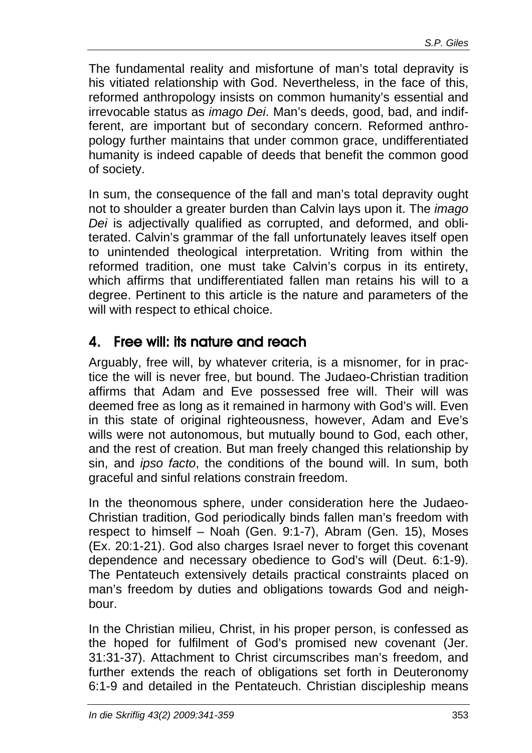The fundamental reality and misfortune of man's total depravity is his vitiated relationship with God. Nevertheless, in the face of this, reformed anthropology insists on common humanity's essential and irrevocable status as *imago Dei*. Man's deeds, good, bad, and indifferent, are important but of secondary concern. Reformed anthropology further maintains that under common grace, undifferentiated humanity is indeed capable of deeds that benefit the common good of society.

In sum, the consequence of the fall and man's total depravity ought not to shoulder a greater burden than Calvin lays upon it. The *imago Dei* is adjectivally qualified as corrupted, and deformed, and obliterated. Calvin's grammar of the fall unfortunately leaves itself open to unintended theological interpretation. Writing from within the reformed tradition, one must take Calvin's corpus in its entirety, which affirms that undifferentiated fallen man retains his will to a degree. Pertinent to this article is the nature and parameters of the will with respect to ethical choice.

# 4. Free will: its nature and reach

Arguably, free will, by whatever criteria, is a misnomer, for in practice the will is never free, but bound. The Judaeo-Christian tradition affirms that Adam and Eve possessed free will. Their will was deemed free as long as it remained in harmony with God's will. Even in this state of original righteousness, however, Adam and Eve's wills were not autonomous, but mutually bound to God, each other, and the rest of creation. But man freely changed this relationship by sin, and *ipso facto*, the conditions of the bound will. In sum, both graceful and sinful relations constrain freedom.

In the theonomous sphere, under consideration here the Judaeo-Christian tradition, God periodically binds fallen man's freedom with respect to himself – Noah (Gen. 9:1-7), Abram (Gen. 15), Moses (Ex. 20:1-21). God also charges Israel never to forget this covenant dependence and necessary obedience to God's will (Deut. 6:1-9). The Pentateuch extensively details practical constraints placed on man's freedom by duties and obligations towards God and neighbour.

In the Christian milieu, Christ, in his proper person, is confessed as the hoped for fulfilment of God's promised new covenant (Jer. 31:31-37). Attachment to Christ circumscribes man's freedom, and further extends the reach of obligations set forth in Deuteronomy 6:1-9 and detailed in the Pentateuch. Christian discipleship means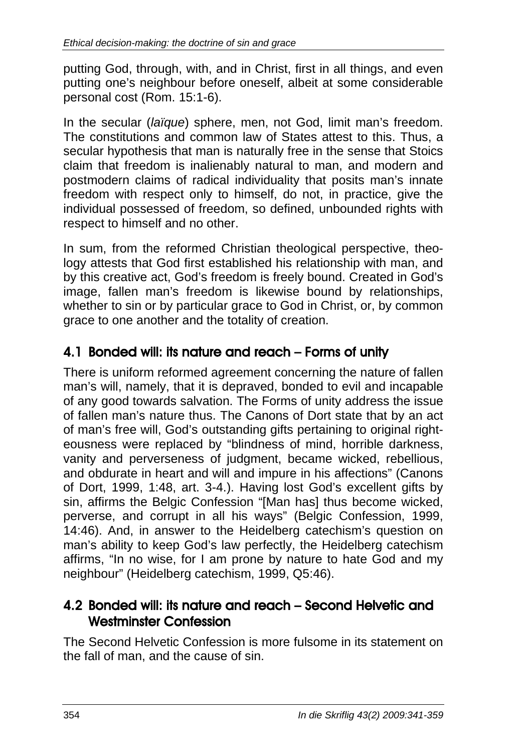putting God, through, with, and in Christ, first in all things, and even putting one's neighbour before oneself, albeit at some considerable personal cost (Rom. 15:1-6).

In the secular (*laïque*) sphere, men, not God, limit man's freedom. The constitutions and common law of States attest to this. Thus, a secular hypothesis that man is naturally free in the sense that Stoics claim that freedom is inalienably natural to man, and modern and postmodern claims of radical individuality that posits man's innate freedom with respect only to himself, do not, in practice, give the individual possessed of freedom, so defined, unbounded rights with respect to himself and no other.

In sum, from the reformed Christian theological perspective, theology attests that God first established his relationship with man, and by this creative act, God's freedom is freely bound. Created in God's image, fallen man's freedom is likewise bound by relationships, whether to sin or by particular grace to God in Christ, or, by common grace to one another and the totality of creation.

### 4.1 Bonded will: its nature and reach – Forms of unity

There is uniform reformed agreement concerning the nature of fallen man's will, namely, that it is depraved, bonded to evil and incapable of any good towards salvation. The Forms of unity address the issue of fallen man's nature thus. The Canons of Dort state that by an act of man's free will, God's outstanding gifts pertaining to original righteousness were replaced by "blindness of mind, horrible darkness, vanity and perverseness of judgment, became wicked, rebellious, and obdurate in heart and will and impure in his affections" (Canons of Dort, 1999, 1:48, art. 3-4.). Having lost God's excellent gifts by sin, affirms the Belgic Confession "[Man has] thus become wicked, perverse, and corrupt in all his ways" (Belgic Confession, 1999, 14:46). And, in answer to the Heidelberg catechism's question on man's ability to keep God's law perfectly, the Heidelberg catechism affirms, "In no wise, for I am prone by nature to hate God and my neighbour" (Heidelberg catechism, 1999, Q5:46).

### 4.2 Bonded will: its nature and reach – Second Helvetic and Westminster Confession

The Second Helvetic Confession is more fulsome in its statement on the fall of man, and the cause of sin.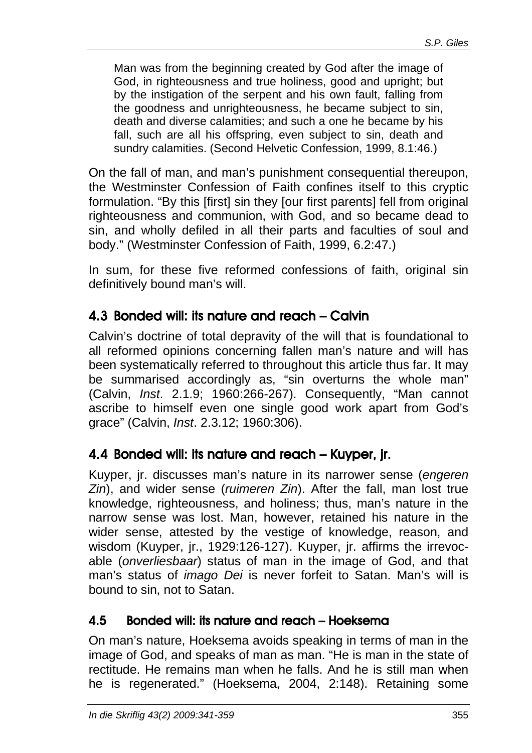Man was from the beginning created by God after the image of God, in righteousness and true holiness, good and upright; but by the instigation of the serpent and his own fault, falling from the goodness and unrighteousness, he became subject to sin, death and diverse calamities; and such a one he became by his fall, such are all his offspring, even subject to sin, death and sundry calamities. (Second Helvetic Confession, 1999, 8.1:46.)

On the fall of man, and man's punishment consequential thereupon, the Westminster Confession of Faith confines itself to this cryptic formulation. "By this [first] sin they [our first parents] fell from original righteousness and communion, with God, and so became dead to sin, and wholly defiled in all their parts and faculties of soul and body." (Westminster Confession of Faith, 1999, 6.2:47.)

In sum, for these five reformed confessions of faith, original sin definitively bound man's will.

## 4.3 Bonded will: its nature and reach – Calvin

Calvin's doctrine of total depravity of the will that is foundational to all reformed opinions concerning fallen man's nature and will has been systematically referred to throughout this article thus far. It may be summarised accordingly as, "sin overturns the whole man" (Calvin, *Inst*. 2.1.9; 1960:266-267). Consequently, "Man cannot ascribe to himself even one single good work apart from God's grace" (Calvin, *Inst*. 2.3.12; 1960:306).

## 4.4 Bonded will: its nature and reach – Kuyper, jr.

Kuyper, jr. discusses man's nature in its narrower sense (*engeren Zin*), and wider sense (*ruimeren Zin*). After the fall, man lost true knowledge, righteousness, and holiness; thus, man's nature in the narrow sense was lost. Man, however, retained his nature in the wider sense, attested by the vestige of knowledge, reason, and wisdom (Kuyper, jr., 1929:126-127). Kuyper, jr. affirms the irrevocable (*onverliesbaar*) status of man in the image of God, and that man's status of *imago Dei* is never forfeit to Satan. Man's will is bound to sin, not to Satan.

#### 4.5 Bonded will: its nature and reach – Hoeksema

On man's nature, Hoeksema avoids speaking in terms of man in the image of God, and speaks of man as man. "He is man in the state of rectitude. He remains man when he falls. And he is still man when he is regenerated." (Hoeksema, 2004, 2:148). Retaining some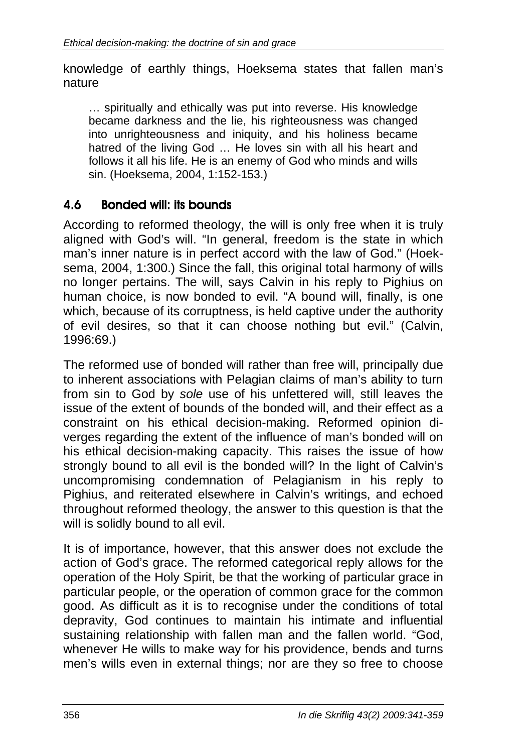knowledge of earthly things, Hoeksema states that fallen man's nature

… spiritually and ethically was put into reverse. His knowledge became darkness and the lie, his righteousness was changed into unrighteousness and iniquity, and his holiness became hatred of the living God … He loves sin with all his heart and follows it all his life. He is an enemy of God who minds and wills sin. (Hoeksema, 2004, 1:152-153.)

#### 4.6 Bonded will: its bounds

According to reformed theology, the will is only free when it is truly aligned with God's will. "In general, freedom is the state in which man's inner nature is in perfect accord with the law of God." (Hoeksema, 2004, 1:300.) Since the fall, this original total harmony of wills no longer pertains. The will, says Calvin in his reply to Pighius on human choice, is now bonded to evil. "A bound will, finally, is one which, because of its corruptness, is held captive under the authority of evil desires, so that it can choose nothing but evil." (Calvin, 1996:69.)

The reformed use of bonded will rather than free will, principally due to inherent associations with Pelagian claims of man's ability to turn from sin to God by *sole* use of his unfettered will, still leaves the issue of the extent of bounds of the bonded will, and their effect as a constraint on his ethical decision-making. Reformed opinion diverges regarding the extent of the influence of man's bonded will on his ethical decision-making capacity. This raises the issue of how strongly bound to all evil is the bonded will? In the light of Calvin's uncompromising condemnation of Pelagianism in his reply to Pighius, and reiterated elsewhere in Calvin's writings, and echoed throughout reformed theology, the answer to this question is that the will is solidly bound to all evil.

It is of importance, however, that this answer does not exclude the action of God's grace. The reformed categorical reply allows for the operation of the Holy Spirit, be that the working of particular grace in particular people, or the operation of common grace for the common good. As difficult as it is to recognise under the conditions of total depravity, God continues to maintain his intimate and influential sustaining relationship with fallen man and the fallen world. "God, whenever He wills to make way for his providence, bends and turns men's wills even in external things; nor are they so free to choose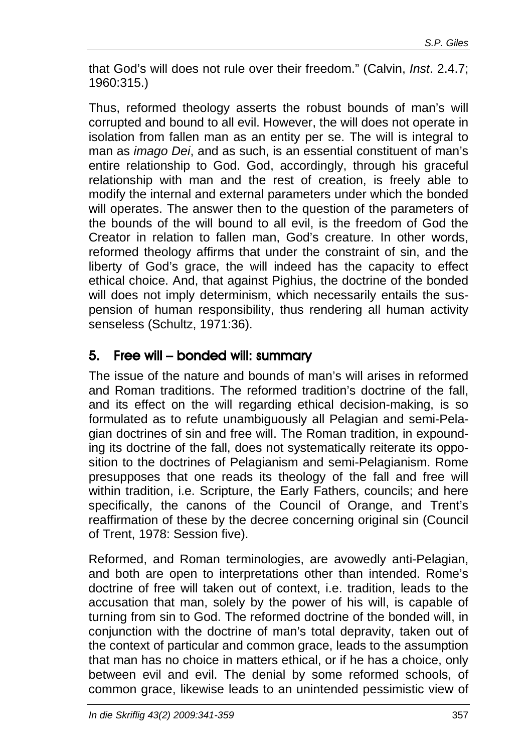that God's will does not rule over their freedom." (Calvin, *Inst*. 2.4.7; 1960:315.)

Thus, reformed theology asserts the robust bounds of man's will corrupted and bound to all evil. However, the will does not operate in isolation from fallen man as an entity per se. The will is integral to man as *imago Dei*, and as such, is an essential constituent of man's entire relationship to God. God, accordingly, through his graceful relationship with man and the rest of creation, is freely able to modify the internal and external parameters under which the bonded will operates. The answer then to the question of the parameters of the bounds of the will bound to all evil, is the freedom of God the Creator in relation to fallen man, God's creature. In other words, reformed theology affirms that under the constraint of sin, and the liberty of God's grace, the will indeed has the capacity to effect ethical choice. And, that against Pighius, the doctrine of the bonded will does not imply determinism, which necessarily entails the suspension of human responsibility, thus rendering all human activity senseless (Schultz, 1971:36).

### 5. Free will – bonded will: summary

The issue of the nature and bounds of man's will arises in reformed and Roman traditions. The reformed tradition's doctrine of the fall, and its effect on the will regarding ethical decision-making, is so formulated as to refute unambiguously all Pelagian and semi-Pelagian doctrines of sin and free will. The Roman tradition, in expounding its doctrine of the fall, does not systematically reiterate its opposition to the doctrines of Pelagianism and semi-Pelagianism. Rome presupposes that one reads its theology of the fall and free will within tradition, i.e. Scripture, the Early Fathers, councils; and here specifically, the canons of the Council of Orange, and Trent's reaffirmation of these by the decree concerning original sin (Council of Trent, 1978: Session five).

Reformed, and Roman terminologies, are avowedly anti-Pelagian, and both are open to interpretations other than intended. Rome's doctrine of free will taken out of context, i.e. tradition, leads to the accusation that man, solely by the power of his will, is capable of turning from sin to God. The reformed doctrine of the bonded will, in conjunction with the doctrine of man's total depravity, taken out of the context of particular and common grace, leads to the assumption that man has no choice in matters ethical, or if he has a choice, only between evil and evil. The denial by some reformed schools, of common grace, likewise leads to an unintended pessimistic view of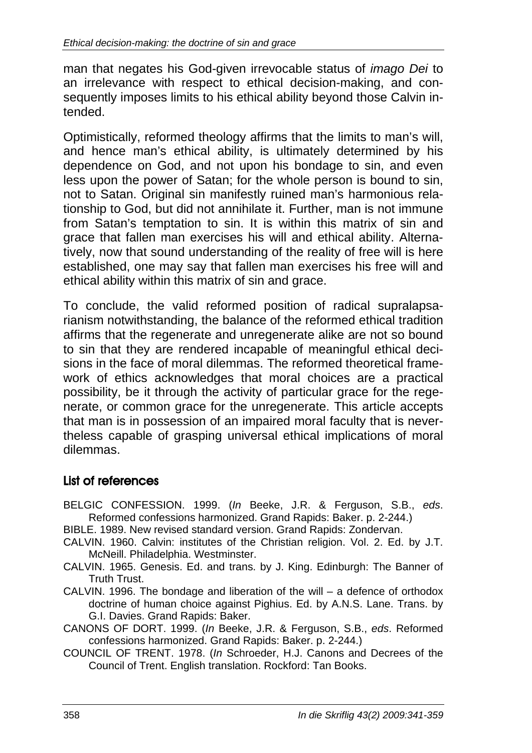man that negates his God-given irrevocable status of *imago Dei* to an irrelevance with respect to ethical decision-making, and consequently imposes limits to his ethical ability beyond those Calvin intended.

Optimistically, reformed theology affirms that the limits to man's will, and hence man's ethical ability, is ultimately determined by his dependence on God, and not upon his bondage to sin, and even less upon the power of Satan; for the whole person is bound to sin, not to Satan. Original sin manifestly ruined man's harmonious relationship to God, but did not annihilate it. Further, man is not immune from Satan's temptation to sin. It is within this matrix of sin and grace that fallen man exercises his will and ethical ability. Alternatively, now that sound understanding of the reality of free will is here established, one may say that fallen man exercises his free will and ethical ability within this matrix of sin and grace.

To conclude, the valid reformed position of radical supralapsarianism notwithstanding, the balance of the reformed ethical tradition affirms that the regenerate and unregenerate alike are not so bound to sin that they are rendered incapable of meaningful ethical decisions in the face of moral dilemmas. The reformed theoretical framework of ethics acknowledges that moral choices are a practical possibility, be it through the activity of particular grace for the regenerate, or common grace for the unregenerate. This article accepts that man is in possession of an impaired moral faculty that is nevertheless capable of grasping universal ethical implications of moral dilemmas.

#### List of references

- BELGIC CONFESSION. 1999. (*In* Beeke, J.R. & Ferguson, S.B., *eds*. Reformed confessions harmonized. Grand Rapids: Baker. p. 2-244.)
- BIBLE. 1989. New revised standard version. Grand Rapids: Zondervan.
- CALVIN. 1960. Calvin: institutes of the Christian religion. Vol. 2. Ed. by J.T. McNeill. Philadelphia. Westminster.
- CALVIN. 1965. Genesis. Ed. and trans. by J. King. Edinburgh: The Banner of Truth Trust.
- CALVIN. 1996. The bondage and liberation of the will a defence of orthodox doctrine of human choice against Pighius. Ed. by A.N.S. Lane. Trans. by G.I. Davies. Grand Rapids: Baker.
- CANONS OF DORT. 1999. (*In* Beeke, J.R. & Ferguson, S.B., *eds*. Reformed confessions harmonized. Grand Rapids: Baker. p. 2-244.)
- COUNCIL OF TRENT. 1978. (*In* Schroeder, H.J. Canons and Decrees of the Council of Trent. English translation. Rockford: Tan Books.